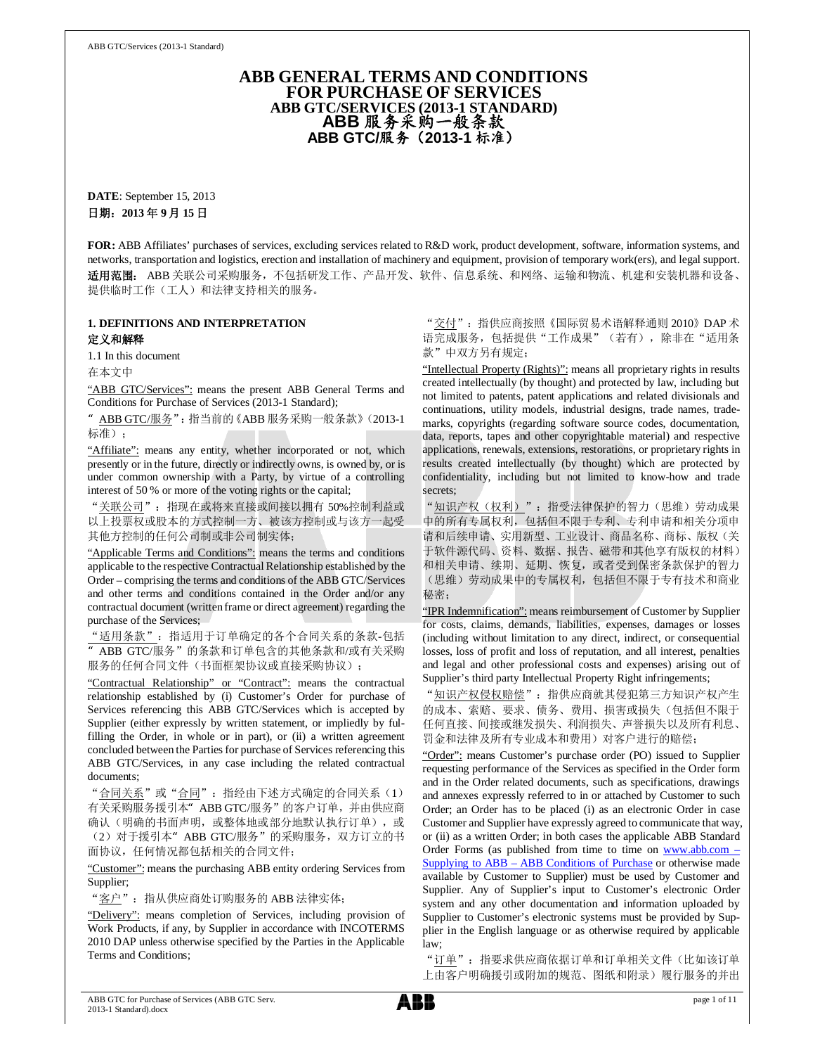### **ABB GENERAL TERMS AND CONDITIONS FOR PURCHASE OF SERVICES ABB GTC/SERVICES (2013-1 STANDARD)**  ABB 服务采购一般条款 **ABB GTC/服务 (2013-1 标准)**

**DATE**: September 15, 2013 日期: 2013年9月15日

**FOR:** ABB Affiliates' purchases of services, excluding services related to R&D work, product development, software, information systems, and networks, transportation and logistics, erection and installation of machinery and equipment, provision of temporary work(ers), and legal support. 适用范围: ABB 关联公司采购服务, 不包括研发工作、产品开发、软件、信息系统、和网络、运输和物流、机建和安装机器和设备、 提供临时工作(工人)和法律支持相关的服务。

### **1. DEFINITIONS AND INTERPRETATION**  定义和解释

1.1 In this document

在本文中

"ABB GTC/Services": means the present ABB General Terms and Conditions for Purchase of Services (2013-1 Standard);

ABB GTC/服务": 指当前的《ABB 服务采购一般条款》(2013-1 标准):

"Affiliate": means any entity, whether incorporated or not, which presently or in the future, directly or indirectly owns, is owned by, or is under common ownership with a Party, by virtue of a controlling interest of 50 % or more of the voting rights or the capital;

"关联公司": 指现在或将来直接或间接以拥有 50%控制利益或 以上投票权或股本的方式控制一方、被该方控制或与该方一起受 其他方控制的任何公司制或非公司制实体;

"Applicable Terms and Conditions": means the terms and conditions applicable to the respective Contractual Relationship established by the Order – comprising the terms and conditions of the ABB GTC/Services and other terms and conditions contained in the Order and/or any contractual document (written frame or direct agreement) regarding the purchase of the Services;

"适用条款": 指适用于订单确定的各个合同关系的条款-包括 " ABB GTC/服务"的条款和订单包含的其他条款和/或有关采购 服务的任何合同文件(书面框架协议或直接采购协议);

"Contractual Relationship" or "Contract": means the contractual relationship established by (i) Customer's Order for purchase of Services referencing this ABB GTC/Services which is accepted by Supplier (either expressly by written statement, or impliedly by fulfilling the Order, in whole or in part), or (ii) a written agreement concluded between the Parties for purchase of Services referencing this ABB GTC/Services, in any case including the related contractual documents;

"合同关系"或"合同": 指经由下述方式确定的合同关系(1) 有关采购服务援引本" ABB GTC/服务"的客户订单, 并由供应商 确认(明确的书面声明, 或整体地或部分地默认执行订单), 或 (2) 对于援引本" ABB GTC/服务"的采购服务, 双方订立的书 面协议,任何情况都包括相关的合同文件;

"Customer": means the purchasing ABB entity ordering Services from Supplier;

"客户": 指从供应商处订购服务的 ABB 法律实体;

"Delivery": means completion of Services, including provision of Work Products, if any, by Supplier in accordance with INCOTERMS 2010 DAP unless otherwise specified by the Parties in the Applicable Terms and Conditions;

"交付": 指供应商按照《国际贸易术语解释通则 2010》 DAP 术 语完成服务, 包括提供"工作成果"(若有), 除非在"适用条 款"中双方另有规定;

"Intellectual Property (Rights)": means all proprietary rights in results created intellectually (by thought) and protected by law, including but not limited to patents, patent applications and related divisionals and continuations, utility models, industrial designs, trade names, trademarks, copyrights (regarding software source codes, documentation, data, reports, tapes and other copyrightable material) and respective applications, renewals, extensions, restorations, or proprietary rights in results created intellectually (by thought) which are protected by confidentiality, including but not limited to know-how and trade secrets;

"知识产权(权利)": 指受法律保护的智力(思维)劳动成果 中的所有专属权利, 包括但不限于专利、专利申请和相关分项申 请和后续申请、实用新型、工业设计、商品名称、商标、版权(关 于软件源代码、资料、数据、报告、磁带和其他享有版权的材料) 和相关申请、续期、延期、恢复, 或者受到保密条款保护的智力 (思维)劳动成果中的专属权利,包括但不限于专有技术和商业 秘密;

"IPR Indemnification": means reimbursement of Customer by Supplier for costs, claims, demands, liabilities, expenses, damages or losses (including without limitation to any direct, indirect, or consequential losses, loss of profit and loss of reputation, and all interest, penalties and legal and other professional costs and expenses) arising out of Supplier's third party Intellectual Property Right infringements;

"知识产权侵权赔偿": 指供应商就其侵犯第三方知识产权产生 的成本、索赔、要求、债务、费用、损害或损失(包括但不限于 任何直接、间接或继发损失、利润损失、声誉损失以及所有利息、 罚金和法律及所有专业成本和费用)对客户进行的赔偿;

"Order": means Customer's purchase order (PO) issued to Supplier requesting performance of the Services as specified in the Order form and in the Order related documents, such as specifications, drawings and annexes expressly referred to in or attached by Customer to such Order; an Order has to be placed (i) as an electronic Order in case Customer and Supplier have expressly agreed to communicate that way, or (ii) as a written Order; in both cases the applicable ABB Standard Order Forms (as published from time to time on www.abb.com Supplying to ABB – ABB Conditions of Purchase or otherwise made available by Customer to Supplier) must be used by Customer and Supplier. Any of Supplier's input to Customer's electronic Order system and any other documentation and information uploaded by Supplier to Customer's electronic systems must be provided by Supplier in the English language or as otherwise required by applicable law;

"订单": 指要求供应商依据订单和订单相关文件(比如该订单 上由客户明确援引或附加的规范、图纸和附录)履行服务的并出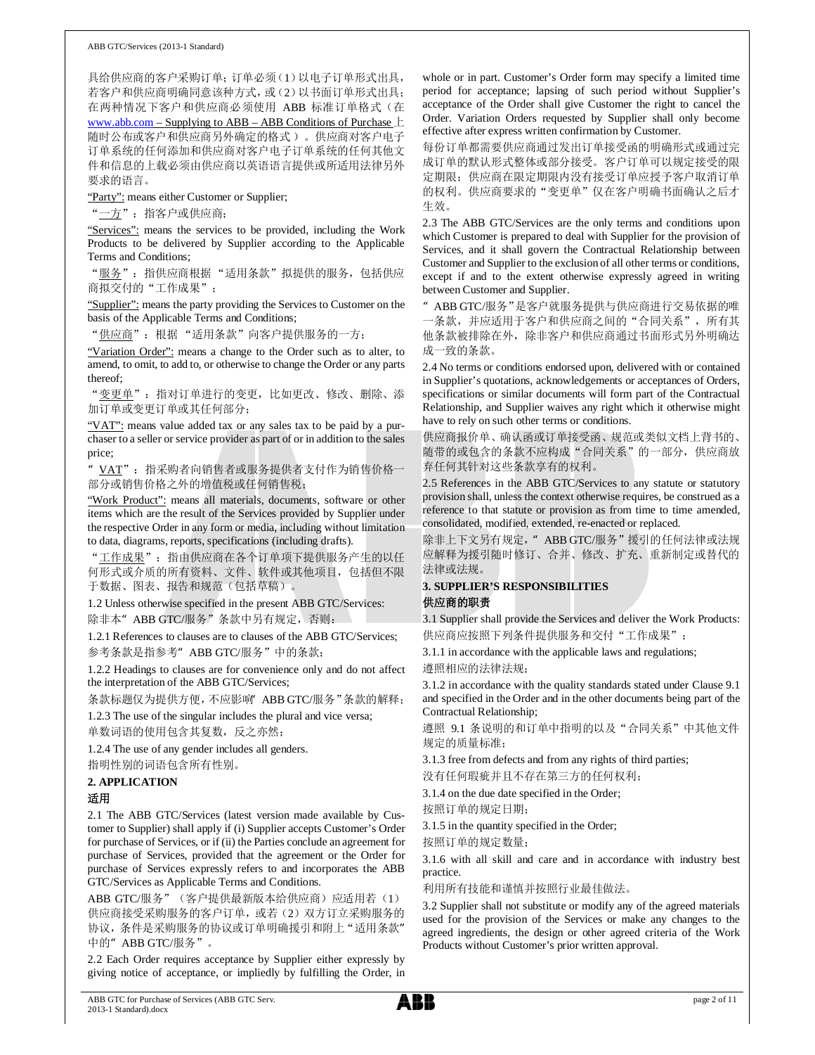具给供应商的客户采购订单:订单必须(1)以电子订单形式出具, 若客户和供应商明确同意该种方式, 或(2)以书面订单形式出具; 在两种情况下客户和供应商必须使用 ABB 标准订单格式 (在 www.abb.com – Supplying to ABB – ABB Conditions of Purchase  $\pm$ 随时公布或客户和供应商另外确定的格式)。供应商对客户电子 订单系统的任何添加和供应商对客户电子订单系统的任何其他文 件和信息的上载必须由供应商以英语语言提供或所适用法律另外 要求的语言。

"Party": means either Customer or Supplier;

"一方": 指客户或供应商;

"Services": means the services to be provided, including the Work Products to be delivered by Supplier according to the Applicable Terms and Conditions;

"服务": 指供应商根据"适用条款"拟提供的服务, 包括供应 商拟交付的"工作成果":

"Supplier": means the party providing the Services to Customer on the basis of the Applicable Terms and Conditions;

"供应商": 根据"适用条款"向客户提供服务的一方;

"Variation Order": means a change to the Order such as to alter, to amend, to omit, to add to, or otherwise to change the Order or any parts thereof;

"变更单": 指对订单进行的变更, 比如更改、修改、删除、添 加订单或变更订单或其任何部分;

"VAT": means value added tax or any sales tax to be paid by a purchaser to a seller or service provider as part of or in addition to the sales price;

VAT": 指采购者向销售者或服务提供者支付作为销售价格一 部分或销售价格之外的增值税或任何销售税;

"Work Product": means all materials, documents, software or other items which are the result of the Services provided by Supplier under the respective Order in any form or media, including without limitation to data, diagrams, reports, specifications (including drafts).

"工作成果": 指由供应商在各个订单项下提供服务产生的以任 何形式或介质的所有资料、文件、软件或其他项目,包括但不限 于数据、图表、报告和规范(包括草稿)。

1.2 Unless otherwise specified in the present ABB GTC/Services: 除非本" ABB GTC/服务"条款中另有规定, 否则:

1.2.1 References to clauses are to clauses of the ABB GTC/Services; 参考条款是指参考" ABB GTC/服务"中的条款;

1.2.2 Headings to clauses are for convenience only and do not affect the interpretation of the ABB GTC/Services;

条款标题仅为提供方便, 不应影响 ABB GTC/服务"条款的解释;

1.2.3 The use of the singular includes the plural and vice versa;

单数词语的使用包含其复数,反之亦然;

1.2.4 The use of any gender includes all genders.

指明性别的词语包含所有性别。

## **2. APPLICATION**

### 适用

2.1 The ABB GTC/Services (latest version made available by Customer to Supplier) shall apply if (i) Supplier accepts Customer's Order for purchase of Services, or if (ii) the Parties conclude an agreement for purchase of Services, provided that the agreement or the Order for purchase of Services expressly refers to and incorporates the ABB GTC/Services as Applicable Terms and Conditions.

ABB GTC/服务" (客户提供最新版本给供应商) 应适用若 (1) 供应商接受采购服务的客户订单, 或若(2) 双方订立采购服务的 协议, 条件是采购服务的协议或订单明确援引和附上"适用条款" 中的" ABB GTC/服务"。

2.2 Each Order requires acceptance by Supplier either expressly by giving notice of acceptance, or impliedly by fulfilling the Order, in

whole or in part. Customer's Order form may specify a limited time period for acceptance; lapsing of such period without Supplier's acceptance of the Order shall give Customer the right to cancel the Order. Variation Orders requested by Supplier shall only become effective after express written confirmation by Customer.

每份订单都需要供应商通过发出订单接受函的明确形式或通过完 成订单的默认形式整体或部分接受。客户订单可以规定接受的限 定期限; 供应商在限定期限内没有接受订单应授予客户取消订单 的权利。供应商要求的"变更单"仅在客户明确书面确认之后才 生效。

2.3 The ABB GTC/Services are the only terms and conditions upon which Customer is prepared to deal with Supplier for the provision of Services, and it shall govern the Contractual Relationship between Customer and Supplier to the exclusion of all other terms or conditions, except if and to the extent otherwise expressly agreed in writing between Customer and Supplier.

" ABB GTC/服务"是客户就服务提供与供应商进行交易依据的唯 一条款, 并应适用于客户和供应商之间的"合同关系", 所有其 他条款被排除在外, 除非客户和供应商通过书面形式另外明确达 成一致的条款。

2.4 No terms or conditions endorsed upon, delivered with or contained in Supplier's quotations, acknowledgements or acceptances of Orders, specifications or similar documents will form part of the Contractual Relationship, and Supplier waives any right which it otherwise might have to rely on such other terms or conditions.

供应商报价单、确认函或订单接受函、规范或类似文档上背书的、 随带的或包含的条款不应构成"合同关系"的一部分,供应商放 弃任何其针对这些条款享有的权利。

2.5 References in the ABB GTC/Services to any statute or statutory provision shall, unless the context otherwise requires, be construed as a reference to that statute or provision as from time to time amended, consolidated, modified, extended, re-enacted or replaced.

除非上下文另有规定," ABB GTC/服务"援引的任何法律或法规 应解释为援引随时修订、合并、修改、扩充、重新制定或替代的 法律或法规。

### **3. SUPPLIER'S RESPONSIBILITIES**

### 供应商的职责

3.1 Supplier shall provide the Services and deliver the Work Products: 供应商应按照下列条件提供服务和交付"工作成果":

3.1.1 in accordance with the applicable laws and regulations; 遵照相应的法律法规;

3.1.2 in accordance with the quality standards stated under Clause 9.1 and specified in the Order and in the other documents being part of the Contractual Relationship;

遵照 9.1 条说明的和订单中指明的以及"合同关系"中其他文件 规定的质量标准;

3.1.3 free from defects and from any rights of third parties;

没有任何瑕疵并且不存在第三方的任何权利;

3.1.4 on the due date specified in the Order;

按照订单的规定日期;

3.1.5 in the quantity specified in the Order;

按照订单的规定数量;

3.1.6 with all skill and care and in accordance with industry best practice.

### 利用所有技能和谨慎并按照行业最佳做法。

3.2 Supplier shall not substitute or modify any of the agreed materials used for the provision of the Services or make any changes to the agreed ingredients, the design or other agreed criteria of the Work Products without Customer's prior written approval.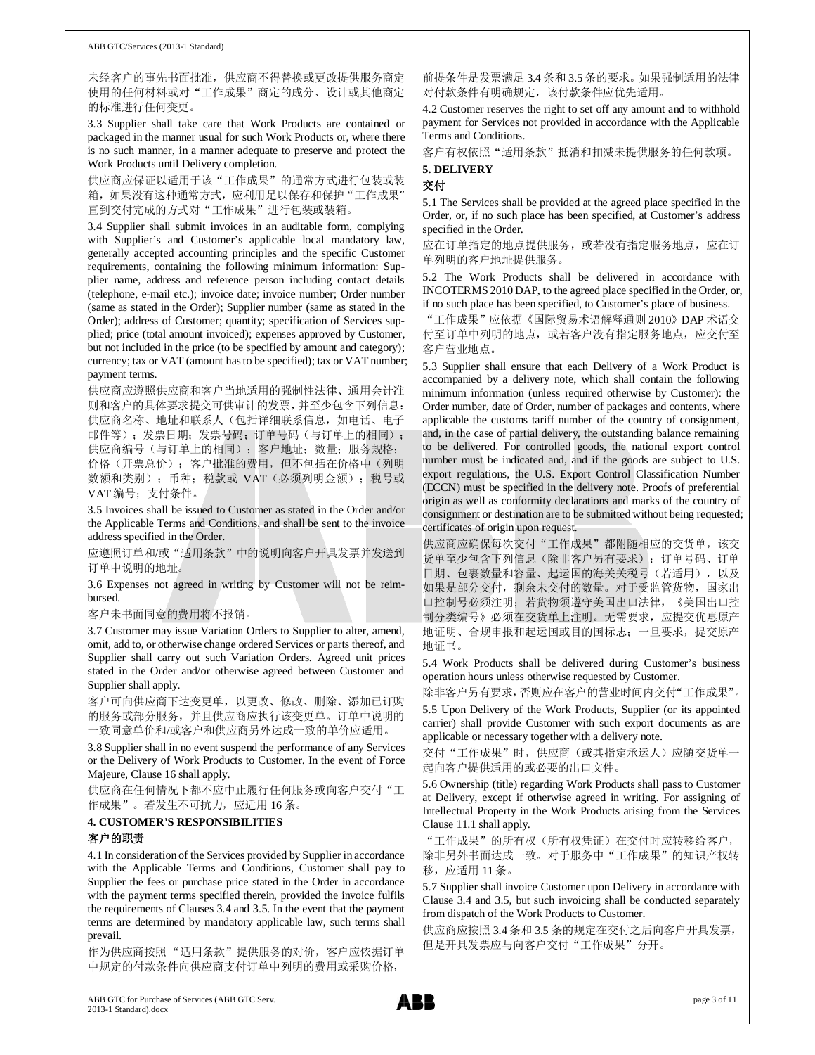未经客户的事先书面批准, 供应商不得替换或更改提供服务商定 使用的任何材料或对"工作成果"商定的成分、设计或其他商定 的标准进行任何变更。

3.3 Supplier shall take care that Work Products are contained or packaged in the manner usual for such Work Products or, where there is no such manner, in a manner adequate to preserve and protect the Work Products until Delivery completion.

供应商应保证以适用于该"工作成果"的通常方式进行包装或装 箱,如果没有这种通常方式,应利用足以保存和保护"工作成果" 直到交付完成的方式对"工作成果"进行包装或装箱。

3.4 Supplier shall submit invoices in an auditable form, complying with Supplier's and Customer's applicable local mandatory law, generally accepted accounting principles and the specific Customer requirements, containing the following minimum information: Supplier name, address and reference person including contact details (telephone, e-mail etc.); invoice date; invoice number; Order number (same as stated in the Order); Supplier number (same as stated in the Order); address of Customer; quantity; specification of Services supplied; price (total amount invoiced); expenses approved by Customer, but not included in the price (to be specified by amount and category); currency; tax or VAT (amount has to be specified); tax or VAT number; payment terms.

供应商应遵照供应商和客户当地适用的强制性法律、通用会计准 则和客户的具体要求提交可供审计的发票,并至少包含下列信息: 供应商名称、地址和联系人(包括详细联系信息,如电话、电子 邮件等); 发票日期; 发票号码; 订单号码(与订单上的相同); 供应商编号(与订单上的相同); 客户地址; 数量; 服务规格; 价格(开票总价); 客户批准的费用, 但不包括在价格中(列明 数额和类别); 币种; 税款或 VAT (必须列明金额); 税号或 VAT 编号: 支付条件。

3.5 Invoices shall be issued to Customer as stated in the Order and/or the Applicable Terms and Conditions, and shall be sent to the invoice address specified in the Order.

应遵照订单和/或"适用条款"中的说明向客户开具发票并发送到 订单中说明的地址。

3.6 Expenses not agreed in writing by Customer will not be reimbursed.

客户未书面同意的费用将不报销。

3.7 Customer may issue Variation Orders to Supplier to alter, amend, omit, add to, or otherwise change ordered Services or parts thereof, and Supplier shall carry out such Variation Orders. Agreed unit prices stated in the Order and/or otherwise agreed between Customer and Supplier shall apply.

客户可向供应商下达变更单, 以更改、修改、删除、添加己订购 的服务或部分服务,并且供应商应执行该变更单。订单中说明的 -致同意单价和/或客户和供应商另外达成一致的单价应适用。

3.8 Supplier shall in no event suspend the performance of any Services or the Delivery of Work Products to Customer. In the event of Force Majeure, Clause 16 shall apply.

供应商在任何情况下都不应中止履行任何服务或向客户交付"工 作成果"。若发生不可抗力, 应适用 16条。

### **4. CUSTOMER'S RESPONSIBILITIES** 客户的职责

4.1 In consideration of the Services provided by Supplier in accordance with the Applicable Terms and Conditions, Customer shall pay to Supplier the fees or purchase price stated in the Order in accordance with the payment terms specified therein, provided the invoice fulfils the requirements of Clauses 3.4 and 3.5. In the event that the payment terms are determined by mandatory applicable law, such terms shall prevail.

作为供应商按照"适用条款"提供服务的对价, 客户应依据订单 中规定的付款条件向供应商支付订单中列明的费用或采购价格,

前提条件是发票满足 3.4 条和 3.5 条的要求。如果强制适用的法律 对付款条件有明确规定, 该付款条件应优先适用。

4.2 Customer reserves the right to set off any amount and to withhold payment for Services not provided in accordance with the Applicable Terms and Conditions.

客户有权依照"适用条款"抵消和扣减未提供服务的任何款项。 5. DELIVERY

### 交付

5.1 The Services shall be provided at the agreed place specified in the Order, or, if no such place has been specified, at Customer's address specified in the Order.

应在订单指定的地点提供服务, 或若没有指定服务地点, 应在订 单列明的客户地址提供服务。

5.2 The Work Products shall be delivered in accordance with INCOTERMS 2010 DAP, to the agreed place specified in the Order, or, if no such place has been specified, to Customer's place of business.

"工作成果"应依据《国际贸易术语解释通则 2010》 DAP 术语交 付至订单中列明的地点, 或若客户没有指定服务地点, 应交付至 客户营业地点。

5.3 Supplier shall ensure that each Delivery of a Work Product is accompanied by a delivery note, which shall contain the following minimum information (unless required otherwise by Customer): the Order number, date of Order, number of packages and contents, where applicable the customs tariff number of the country of consignment, and, in the case of partial delivery, the outstanding balance remaining to be delivered. For controlled goods, the national export control number must be indicated and, and if the goods are subject to U.S. export regulations, the U.S. Export Control Classification Number (ECCN) must be specified in the delivery note. Proofs of preferential origin as well as conformity declarations and marks of the country of consignment or destination are to be submitted without being requested; certificates of origin upon request.

供应商应确保每次交付"工作成果"都附随相应的交货单,该交 货单至少包含下列信息(除非客户另有要求): 订单号码、订单 日期、包裹数量和容量、起运国的海关关税号(若适用), 以及 如果是部分交付, 剩余未交付的数量。对于受监管货物, 国家出 口控制号必须注明; 若货物须遵守美国出口法律, 《美国出口控 制分类编号》必须在交货单上注明。无需要求, 应提交优惠原产 地证明、合规申报和起运国或目的国标志;一旦要求,提交原产 地证书。

5.4 Work Products shall be delivered during Customer's business operation hours unless otherwise requested by Customer.

除非客户另有要求,否则应在客户的营业时间内交付"工作成果"。

5.5 Upon Delivery of the Work Products, Supplier (or its appointed carrier) shall provide Customer with such export documents as are applicable or necessary together with a delivery note.

交付"工作成果"时,供应商(或其指定承运人)应随交货单一 起向客户提供适用的或必要的出口文件。

5.6 Ownership (title) regarding Work Products shall pass to Customer at Delivery, except if otherwise agreed in writing. For assigning of Intellectual Property in the Work Products arising from the Services Clause 11.1 shall apply.

"工作成果"的所有权(所有权凭证)在交付时应转移给客户, 除非另外书面达成一致。对于服务中"工作成果"的知识产权转 移, 应适用 11条。

5.7 Supplier shall invoice Customer upon Delivery in accordance with Clause 3.4 and 3.5, but such invoicing shall be conducted separately from dispatch of the Work Products to Customer.

供应商应按照 3.4 条和 3.5 条的规定在交付之后向客户开具发票, 但是开具发票应与向客户交付"工作成果"分开。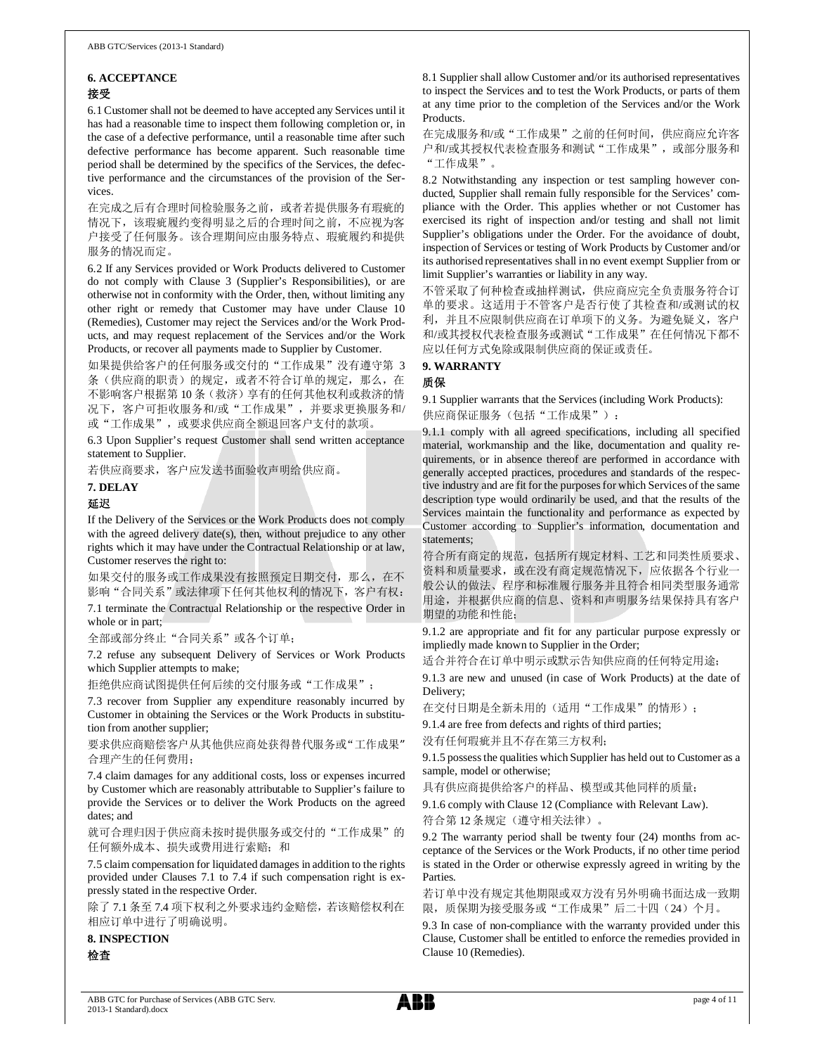### **6. ACCEPTANCE** 接受

6.1 Customer shall not be deemed to have accepted any Services until it has had a reasonable time to inspect them following completion or, in the case of a defective performance, until a reasonable time after such defective performance has become apparent. Such reasonable time period shall be determined by the specifics of the Services, the defective performance and the circumstances of the provision of the Services.

在完成之后有合理时间检验服务之前, 或者若提供服务有瑕疵的 情况下,该瑕疵履约变得明显之后的合理时间之前,不应视为客 户接受了任何服务。该合理期间应由服务特点、瑕疵履约和提供 服务的情况而定。

6.2 If any Services provided or Work Products delivered to Customer do not comply with Clause 3 (Supplier's Responsibilities), or are otherwise not in conformity with the Order, then, without limiting any other right or remedy that Customer may have under Clause 10 (Remedies), Customer may reject the Services and/or the Work Products, and may request replacement of the Services and/or the Work Products, or recover all payments made to Supplier by Customer.

如果提供给客户的任何服务或交付的"工作成果"没有遵守第 3 条(供应商的职责)的规定, 或者不符合订单的规定, 那么, 在 不影响客户根据第10条(救济)享有的任何其他权利或救济的情 况下, 客户可拒收服务和/或"工作成果", 并要求更换服务和/ 或"工作成果",或要求供应商全额退回客户支付的款项。

6.3 Upon Supplier's request Customer shall send written acceptance statement to Supplier.

若供应商要求, 客户应发送书面验收声明给供应商。

### 7. DELAY

### 延迟

If the Delivery of the Services or the Work Products does not comply with the agreed delivery date(s), then, without prejudice to any other rights which it may have under the Contractual Relationship or at law, Customer reserves the right to:

如果交付的服务或工作成果没有按照预定日期交付, 那么, 在不 影响"合同关系"或法律项下任何其他权利的情况下, 客户有权:

7.1 terminate the Contractual Relationship or the respective Order in whole or in part;

全部或部分终止"合同关系"或各个订单;

7.2 refuse any subsequent Delivery of Services or Work Products which Supplier attempts to make;

拒绝供应商试图提供任何后续的交付服务或"工作成果";

7.3 recover from Supplier any expenditure reasonably incurred by Customer in obtaining the Services or the Work Products in substitution from another supplier;

要求供应商赔偿客户从其他供应商处获得替代服务或"工作成果" 合理产生的任何费用;

7.4 claim damages for any additional costs, loss or expenses incurred by Customer which are reasonably attributable to Supplier's failure to provide the Services or to deliver the Work Products on the agreed dates: and

就可合理归因于供应商未按时提供服务或交付的"工作成果"的 任何额外成本、损失或费用进行索赔; 和

7.5 claim compensation for liquidated damages in addition to the rights provided under Clauses 7.1 to 7.4 if such compensation right is expressly stated in the respective Order.

除了7.1条至7.4项下权利之外要求违约金赔偿,若该赔偿权利在 相应订单中进行了明确说明。

**8. INSPECTION** 

检査

8.1 Supplier shall allow Customer and/or its authorised representatives to inspect the Services and to test the Work Products, or parts of them at any time prior to the completion of the Services and/or the Work Products.

在完成服务和/或"工作成果"之前的任何时间,供应商应允许客 户和/或其授权代表检查服务和测试"工作成果",或部分服务和 "工作成果"。

8.2 Notwithstanding any inspection or test sampling however conducted, Supplier shall remain fully responsible for the Services' compliance with the Order. This applies whether or not Customer has exercised its right of inspection and/or testing and shall not limit Supplier's obligations under the Order. For the avoidance of doubt, inspection of Services or testing of Work Products by Customer and/or its authorised representatives shall in no event exempt Supplier from or limit Supplier's warranties or liability in any way.

不管采取了何种检查或抽样测试,供应商应完全负责服务符合订 单的要求。这适用于不管客户是否行使了其检查和/或测试的权 利, 并且不应限制供应商在订单项下的义务。为避免疑义, 客户 和/或其授权代表检查服务或测试"工作成果"在任何情况下都不 应以任何方式免除或限制供应商的保证或责任。

### 9. WARRANTY

### 质保

9.1 Supplier warrants that the Services (including Work Products):

供应商保证服务(包括"工作成果"):

9.1.1 comply with all agreed specifications, including all specified material, workmanship and the like, documentation and quality requirements, or in absence thereof are performed in accordance with generally accepted practices, procedures and standards of the respective industry and are fit for the purposes for which Services of the same description type would ordinarily be used, and that the results of the Services maintain the functionality and performance as expected by Customer according to Supplier's information, documentation and statements:

符合所有商定的规范,包括所有规定材料、工艺和同类性质要求、 资料和质量要求, 或在没有商定规范情况下, 应依据各个行业-般公认的做法、程序和标准履行服务并且符合相同类型服务通常 用途,并根据供应商的信息、资料和声明服务结果保持具有客户 期望的功能和性能;

9.1.2 are appropriate and fit for any particular purpose expressly or impliedly made known to Supplier in the Order;

适合并符合在订单中明示或默示告知供应商的任何特定用途;

9.1.3 are new and unused (in case of Work Products) at the date of Delivery;

在交付日期是全新未用的(适用"工作成果"的情形);

9.1.4 are free from defects and rights of third parties;

没有任何瑕疵并且不存在第三方权利;

9.1.5 possess the qualities which Supplier has held out to Customer as a sample, model or otherwise;

具有供应商提供给客户的样品、模型或其他同样的质量;

9.1.6 comply with Clause 12 (Compliance with Relevant Law).

符合第 12 条规定(遵守相关法律)。

9.2 The warranty period shall be twenty four (24) months from acceptance of the Services or the Work Products, if no other time period is stated in the Order or otherwise expressly agreed in writing by the Parties.

若订单中没有规定其他期限或双方没有另外明确书面达成一致期 限, 质保期为接受服务或"工作成果"后二十四(24)个月。

9.3 In case of non-compliance with the warranty provided under this Clause, Customer shall be entitled to enforce the remedies provided in Clause 10 (Remedies).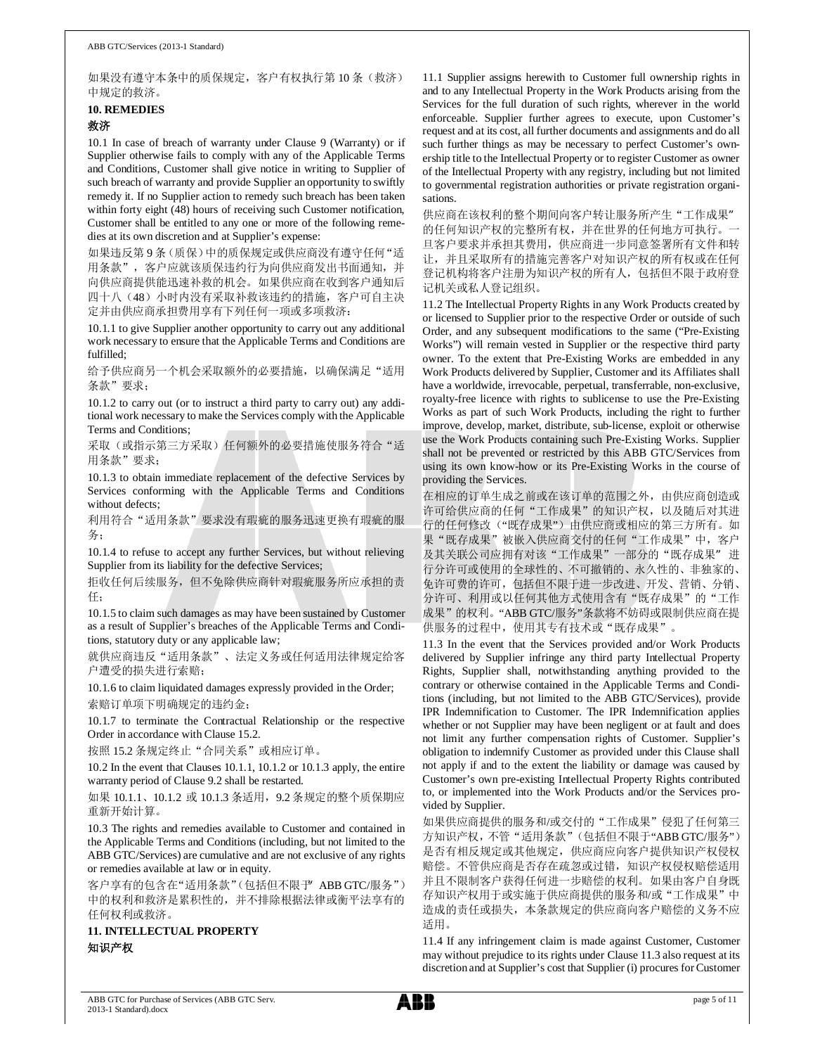如果没有遵守本条中的质保规定, 客户有权执行第 10 条 ( 救济 ) 中规定的救济。

# **10. REMEDIES**

### 救济

10.1 In case of breach of warranty under Clause 9 (Warranty) or if Supplier otherwise fails to comply with any of the Applicable Terms and Conditions, Customer shall give notice in writing to Supplier of such breach of warranty and provide Supplier an opportunity to swiftly remedy it. If no Supplier action to remedy such breach has been taken within forty eight (48) hours of receiving such Customer notification, Customer shall be entitled to any one or more of the following remedies at its own discretion and at Supplier's expense:

如果违反第9条(质保)中的质保规定或供应商没有遵守任何"适 用条款", 客户应就该质保违约行为向供应商发出书面通知, 并 向供应商提供能迅速补救的机会。如果供应商在收到客户通知后 四十八 (48) 小时内没有采取补救该违约的措施, 客户可自主决 定并由供应商承担费用享有下列任何一项或多项救济:

10.1.1 to give Supplier another opportunity to carry out any additional work necessary to ensure that the Applicable Terms and Conditions are fulfilled;

给予供应商另一个机会采取额外的必要措施, 以确保满足"适用 条款"要求:

10.1.2 to carry out (or to instruct a third party to carry out) any additional work necessary to make the Services comply with the Applicable Terms and Conditions;

采取(或指示第三方采取)任何额外的必要措施使服务符合"适 用条款"要求:

10.1.3 to obtain immediate replacement of the defective Services by Services conforming with the Applicable Terms and Conditions without defects:

利用符合"适用条款"要求没有瑕疵的服务迅速更换有瑕疵的服 务;

10.1.4 to refuse to accept any further Services, but without relieving Supplier from its liability for the defective Services;

拒收任何后续服务, 但不免除供应商针对瑕疵服务所应承担的责 ԫ˗

10.1.5 to claim such damages as may have been sustained by Customer as a result of Supplier's breaches of the Applicable Terms and Conditions, statutory duty or any applicable law;

就供应商违反"适用条款"、法定义务或任何适用法律规定给客 户遭受的损失进行索赔;

10.1.6 to claim liquidated damages expressly provided in the Order; 索赔订单项下明确规定的违约金;

10.1.7 to terminate the Contractual Relationship or the respective Order in accordance with Clause 15.2.

按照 15.2 条规定终止"合同关系"或相应订单。

10.2 In the event that Clauses 10.1.1, 10.1.2 or 10.1.3 apply, the entire warranty period of Clause 9.2 shall be restarted.

如果 10.1.1、10.1.2 或 10.1.3 条适用, 9.2 条规定的整个质保期应 重新开始计算。

10.3 The rights and remedies available to Customer and contained in the Applicable Terms and Conditions (including, but not limited to the ABB GTC/Services) are cumulative and are not exclusive of any rights or remedies available at law or in equity.

客户享有的包含在"适用条款"(包括但不限于 ABB GTC/服务") 中的权利和救济是累积性的,并不排除根据法律或衡平法享有的 任何权利或救济。

**11. INTELLECTUAL PROPERTY**  知识产权

11.1 Supplier assigns herewith to Customer full ownership rights in and to any Intellectual Property in the Work Products arising from the Services for the full duration of such rights, wherever in the world enforceable. Supplier further agrees to execute, upon Customer's request and at its cost, all further documents and assignments and do all such further things as may be necessary to perfect Customer's ownership title to the Intellectual Property or to register Customer as owner of the Intellectual Property with any registry, including but not limited to governmental registration authorities or private registration organisations.

供应商在该权利的整个期间向客户转让服务所产生"工作成果" 的任何知识产权的完整所有权,并在世界的任何地方可执行。 旦客户要求并承担其费用, 供应商进一步同意签署所有文件和转 让,并且采取所有的措施完善客户对知识产权的所有权或在任何 登记机构将客户注册为知识产权的所有人, 包括但不限于政府登 记机关或私人登记组织。

11.2 The Intellectual Property Rights in any Work Products created by or licensed to Supplier prior to the respective Order or outside of such Order, and any subsequent modifications to the same ("Pre-Existing Works") will remain vested in Supplier or the respective third party owner. To the extent that Pre-Existing Works are embedded in any Work Products delivered by Supplier, Customer and its Affiliates shall have a worldwide, irrevocable, perpetual, transferrable, non-exclusive, royalty-free licence with rights to sublicense to use the Pre-Existing Works as part of such Work Products, including the right to further improve, develop, market, distribute, sub-license, exploit or otherwise use the Work Products containing such Pre-Existing Works. Supplier shall not be prevented or restricted by this ABB GTC/Services from using its own know-how or its Pre-Existing Works in the course of providing the Services.

在相应的订单生成之前或在该订单的范围之外,由供应商创造或 许可给供应商的任何"工作成果"的知识产权,以及随后对其进 行的任何修改("既存成果")由供应商或相应的第三方所有。如 果"既存成果"被嵌入供应商交付的任何"工作成果"中, 客户 及其关联公司应拥有对该"工作成果"一部分的"既存成果"进 行分许丏嗔엿白年球性的、不可撤销的、永久性的、非独家的、 免许可费的许可, 包括但不限于进一步改进、开发、营销、分销、 分许可、利用或以任何其他方式使用含有"既存成果"的"工作 成果"的权利。"ABB GTC/服务"条款将不妨碍或限制供应商在提 供服务的过程中, 使用其专有技术或"既存成果"。

11.3 In the event that the Services provided and/or Work Products delivered by Supplier infringe any third party Intellectual Property Rights, Supplier shall, notwithstanding anything provided to the contrary or otherwise contained in the Applicable Terms and Conditions (including, but not limited to the ABB GTC/Services), provide IPR Indemnification to Customer. The IPR Indemnification applies whether or not Supplier may have been negligent or at fault and does not limit any further compensation rights of Customer. Supplier's obligation to indemnify Customer as provided under this Clause shall not apply if and to the extent the liability or damage was caused by Customer's own pre-existing Intellectual Property Rights contributed to, or implemented into the Work Products and/or the Services provided by Supplier.

如果供应商提供的服务和/或交付的"工作成果"侵犯了任何第三 方知识产权, 不管"适用条款"(包括但不限于"ABB GTC/服务") 是否有相反规定或其他规定, 供应商应向客户提供知识产权侵权 赔偿。不管供应商是否存在疏忽或过错, 知识产权侵权赔偿适用 并且不限制客户获得任何进一步赔偿的权利。如果由客户自身既 存知识产权用于或实施于供应商提供的服务和/或"工作成果"中 造成的责任或损失, 本条款规定的供应商向客户赔偿的义务不应 适用。

11.4 If any infringement claim is made against Customer, Customer may without prejudice to its rights under Clause 11.3 also request at its discretion and at Supplier's cost that Supplier (i) procures for Customer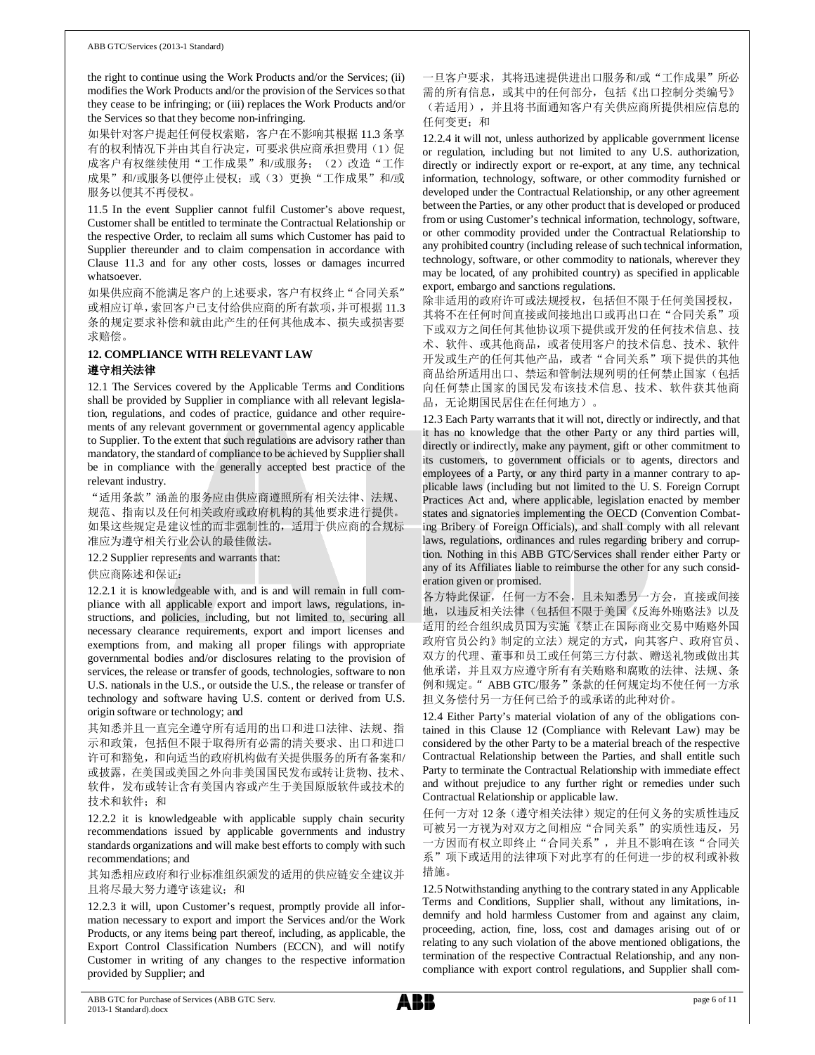the right to continue using the Work Products and/or the Services; (ii) modifies the Work Products and/or the provision of the Services so that they cease to be infringing; or (iii) replaces the Work Products and/or the Services so that they become non-infringing.

如果针对客户提起任何侵权索赔, 客户在不影响其根据 11.3 条享 有的权利情况下并由其自行决定,可要求供应商承担费用(1)促 成客户有权继续使用"工作成果"和/或服务; (2) 改造"工作 成果"和/或服务以便停止侵权;或(3)更换"工作成果"和/或 服务以便其不再侵权。

11.5 In the event Supplier cannot fulfil Customer's above request, Customer shall be entitled to terminate the Contractual Relationship or the respective Order, to reclaim all sums which Customer has paid to Supplier thereunder and to claim compensation in accordance with Clause 11.3 and for any other costs, losses or damages incurred whatsoever.

如果供应商不能满足客户的上述要求, 客户有权终止"合同关系" 或相应订单,索回客户己支付给供应商的所有款项,并可根据11.3 条的规定要求补偿和就由此产生的任何其他成本、损失或损害要 求赔偿。

### **12. COMPLIANCE WITH RELEVANT LAW**

### 遵守相关法律

12.1 The Services covered by the Applicable Terms and Conditions shall be provided by Supplier in compliance with all relevant legislation, regulations, and codes of practice, guidance and other requirements of any relevant government or governmental agency applicable to Supplier. To the extent that such regulations are advisory rather than mandatory, the standard of compliance to be achieved by Supplier shall be in compliance with the generally accepted best practice of the relevant industry.

"适用条款"涵盖的服务应由供应商遵照所有相关法律、法规、 规范、指南以及任何相关政府或政府机构的其他要求进行提供。 如果这些规定是建议性的而非强制性的, 适用于供应商的合规标 准应为遵守相关行业公认的最佳做法。

12.2 Supplier represents and warrants that:

供应商陈述和保证:

12.2.1 it is knowledgeable with, and is and will remain in full compliance with all applicable export and import laws, regulations, instructions, and policies, including, but not limited to, securing all necessary clearance requirements, export and import licenses and exemptions from, and making all proper filings with appropriate governmental bodies and/or disclosures relating to the provision of services, the release or transfer of goods, technologies, software to non U.S. nationals in the U.S., or outside the U.S., the release or transfer of technology and software having U.S. content or derived from U.S. origin software or technology; and

其知悉并且一直完全遵守所有适用的出口和进口法律、法规、指 示和政策, 包括但不限于取得所有必需的清关要求、出口和进口 许可和豁免, 和向适当的政府机构做有关提供服务的所有备案和/ 或披露, 在美国或美国之外向非美国国民发布或转让货物、技术、 软件, 发布或转让含有美国内容或产生于美国原版软件或技术的 技术和软件: 和

12.2.2 it is knowledgeable with applicable supply chain security recommendations issued by applicable governments and industry standards organizations and will make best efforts to comply with such recommendations; and

其知悉相应政府和行业标准组织颁发的适用的供应链安全建议并 且将尽最大努力遵守该建议; 和

12.2.3 it will, upon Customer's request, promptly provide all information necessary to export and import the Services and/or the Work Products, or any items being part thereof, including, as applicable, the Export Control Classification Numbers (ECCN), and will notify Customer in writing of any changes to the respective information provided by Supplier; and

一旦客户要求, 其将迅速提供进出口服务和/或"工作成果"所必 需的所有信息, 或其中的任何部分, 包括《出口控制分类编号》 (若适用), 并且将书面通知客户有关供应商所提供相应信息的 任何变更; 和

12.2.4 it will not, unless authorized by applicable government license or regulation, including but not limited to any U.S. authorization, directly or indirectly export or re-export, at any time, any technical information, technology, software, or other commodity furnished or developed under the Contractual Relationship, or any other agreement between the Parties, or any other product that is developed or produced from or using Customer's technical information, technology, software, or other commodity provided under the Contractual Relationship to any prohibited country (including release of such technical information, technology, software, or other commodity to nationals, wherever they may be located, of any prohibited country) as specified in applicable export, embargo and sanctions regulations.

除非适用的政府许可或法规授权,包括但不限于任何美国授权, 其将不在任何时间直接或间接地出口或再出口在"合同关系"项 下或双方之间任何其他协议项下提供或开发的任何技术信息、技 术、软件、或其他商品, 或者使用客户的技术信息、技术、软件 开发或生产的任何其他产品, 或者"合同关系"项下提供的其他 商品给所适用出口、禁运和管制法规列明的任何禁止国家(包括 向任何禁止国家的国民发布该技术信息、技术、软件获其他商 品,无论期国民居住在任何地方)。

12.3 Each Party warrants that it will not, directly or indirectly, and that it has no knowledge that the other Party or any third parties will, directly or indirectly, make any payment, gift or other commitment to its customers, to government officials or to agents, directors and employees of a Party, or any third party in a manner contrary to applicable laws (including but not limited to the U. S. Foreign Corrupt Practices Act and, where applicable, legislation enacted by member states and signatories implementing the OECD (Convention Combating Bribery of Foreign Officials), and shall comply with all relevant laws, regulations, ordinances and rules regarding bribery and corruption. Nothing in this ABB GTC/Services shall render either Party or any of its Affiliates liable to reimburse the other for any such consideration given or promised.

各方特此保证,任何一方不会,且未知悉另一方会,直接或间接 地,以违反相关法律(包括但不限于美国《反海外贿赂法》以及 适用的经合组织成员国为实施《禁止在国际商业交易中贿赂外国 政府官员公约》制定的立法)规定的方式,向其客户、政府官员、 双方的代理、董事和员工或任何第三方付款、赠送礼物或做出其 他承诺, 并且双方应遵守所有有关贿赂和腐败的法律、法规、条 例和规定。" ABB GTC/服务"条款的任何规定均不使任何一方承 担义务偿付另一方任何已给予的或承诺的此种对价。

12.4 Either Party's material violation of any of the obligations contained in this Clause 12 (Compliance with Relevant Law) may be considered by the other Party to be a material breach of the respective Contractual Relationship between the Parties, and shall entitle such Party to terminate the Contractual Relationship with immediate effect and without prejudice to any further right or remedies under such Contractual Relationship or applicable law.

任何一方对 12 条 (遵守相关法律) 规定的任何义务的实质性违反 可被另一方视为对双方之间相应"合同关系"的实质性违反,另 一方因而有权立即终止"合同关系", 并且不影响在该"合同关 系"项下或适用的法律项下对此享有的任何进一步的权利或补救 措施。

12.5 Notwithstanding anything to the contrary stated in any Applicable Terms and Conditions, Supplier shall, without any limitations, indemnify and hold harmless Customer from and against any claim, proceeding, action, fine, loss, cost and damages arising out of or relating to any such violation of the above mentioned obligations, the termination of the respective Contractual Relationship, and any noncompliance with export control regulations, and Supplier shall com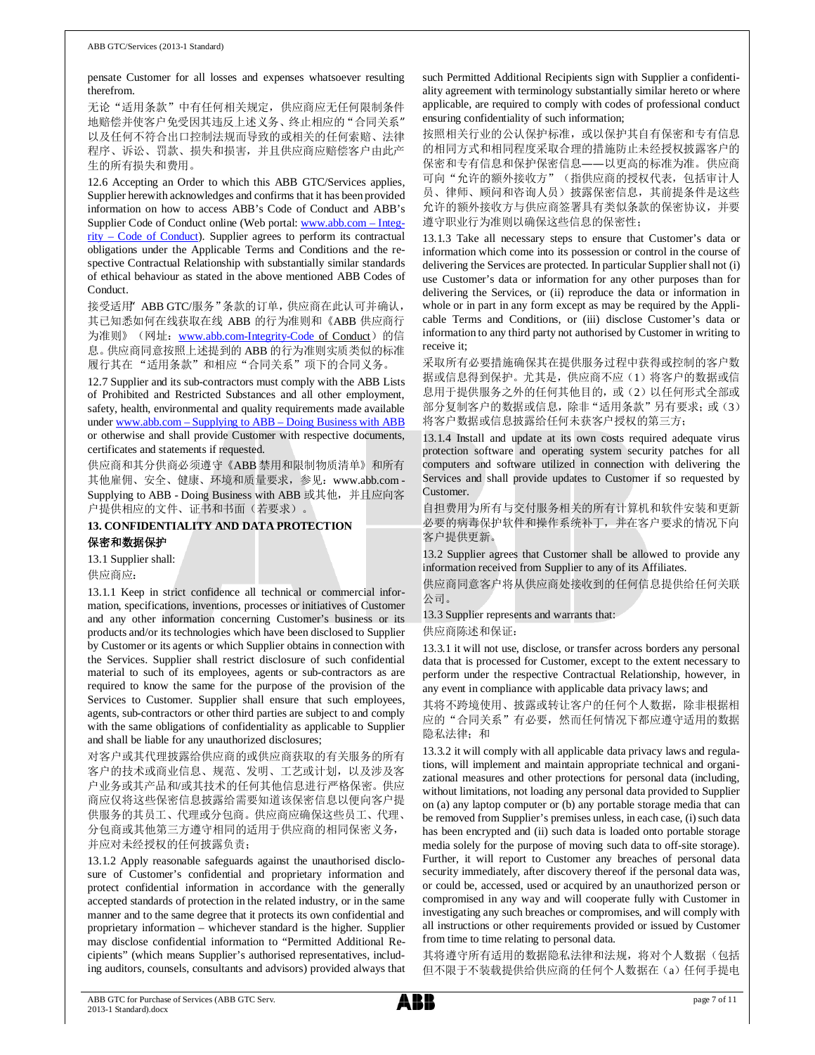pensate Customer for all losses and expenses whatsoever resulting therefrom.

无论"适用条款"中有任何相关规定,供应商应无任何限制条件 地赔偿并使客户免受因其违反上述义务、终止相应的"合同关系" 以及任何不符合出口控制法规而导致的或相关的任何索赔、法律 程序、诉讼、罚款、损失和损害, 并且供应商应赔偿客户由此产 生的所有损失和费用。

12.6 Accepting an Order to which this ABB GTC/Services applies, Supplier herewith acknowledges and confirms that it has been provided information on how to access ABB's Code of Conduct and ABB's Supplier Code of Conduct online (Web portal: www.abb.com - Integ- $\frac{rity - Code}{}$  of Conduct). Supplier agrees to perform its contractual obligations under the Applicable Terms and Conditions and the respective Contractual Relationship with substantially similar standards of ethical behaviour as stated in the above mentioned ABB Codes of Conduct.

接受适用 ABB GTC/服务"条款的订单,供应商在此认可并确认, 其已知悉如何在线获取在线 ABB 的行为准则和《ABB 供应商行 为准则》(网址: www.abb.com-Integrity-Code of Conduct) 的信 息。供应商同意按照上述提到的 ABB 的行为准则实质类似的标准 履行其在"适用条款"和相应"合同关系"项下的合同义务。

12.7 Supplier and its sub-contractors must comply with the ABB Lists of Prohibited and Restricted Substances and all other employment, safety, health, environmental and quality requirements made available under www.abb.com – Supplying to ABB – Doing Business with ABB or otherwise and shall provide Customer with respective documents, certificates and statements if requested.

供应商和其分供商必须遵守《ABB 禁用和限制物质清单》和所有 其他雇佣、安全、健康、环境和质量要求, 参见: www.abb.com -Supplying to ABB - Doing Business with ABB 或其他, 并且应向客 户提供相应的文件、证书和书面(若要求)。

13. CONFIDENTIALITY AND DATA PROTECTION 保密和数据保护

13.1 Supplier shall:

供应商应:

13.1.1 Keep in strict confidence all technical or commercial information, specifications, inventions, processes or initiatives of Customer and any other information concerning Customer's business or its products and/or its technologies which have been disclosed to Supplier by Customer or its agents or which Supplier obtains in connection with the Services. Supplier shall restrict disclosure of such confidential material to such of its employees, agents or sub-contractors as are required to know the same for the purpose of the provision of the Services to Customer. Supplier shall ensure that such employees, agents, sub-contractors or other third parties are subject to and comply with the same obligations of confidentiality as applicable to Supplier and shall be liable for any unauthorized disclosures;

对客户或其代理披露给供应商的或供应商获取的有关服务的所有 客户的技术或商业信息、规范、发明、工艺或计划, 以及涉及客 户业务或其产品和/或其技术的任何其他信息进行严格保密。供应 商应仅将这些保密信息披露给需要知道该保密信息以便向客户提 供服务的其员工、代理或分包商。供应商应确保这些员工、代理、 分包商或其他第三方遵守相同的适用于供应商的相同保密义务, 并应对未经授权的任何披露负责;

13.1.2 Apply reasonable safeguards against the unauthorised disclosure of Customer's confidential and proprietary information and protect confidential information in accordance with the generally accepted standards of protection in the related industry, or in the same manner and to the same degree that it protects its own confidential and proprietary information - whichever standard is the higher. Supplier may disclose confidential information to "Permitted Additional Recipients" (which means Supplier's authorised representatives, including auditors, counsels, consultants and advisors) provided always that

such Permitted Additional Recipients sign with Supplier a confidentiality agreement with terminology substantially similar hereto or where applicable, are required to comply with codes of professional conduct ensuring confidentiality of such information;

按照相关行业的公认保护标准, 或以保护其自有保密和专有信息 的相同方式和相同程度采取合理的措施防止未经授权披露客户的 保密和专有信息和保护保密信息——以更高的标准为准。供应商 可向"允许的额外接收方"(指供应商的授权代表,包括审计人 员、律师、顾问和咨询人员) 披露保密信息, 其前提条件是这些 允许的额外接收方与供应商签署具有类似条款的保密协议, 并要 遵守职业行为准则以确保这些信息的保密性;

13.1.3 Take all necessary steps to ensure that Customer's data or information which come into its possession or control in the course of delivering the Services are protected. In particular Supplier shall not (i) use Customer's data or information for any other purposes than for delivering the Services, or (ii) reproduce the data or information in whole or in part in any form except as may be required by the Applicable Terms and Conditions, or (iii) disclose Customer's data or information to any third party not authorised by Customer in writing to receive it:

采取所有必要措施确保其在提供服务过程中获得或控制的客户数 据或信息得到保护。尤其是,供应商不应(1)将客户的数据或信 息用于提供服务之外的任何其他目的,或(2)以任何形式全部或 部分复制客户的数据或信息,除非"适用条款"另有要求;或(3) 将客户数据或信息披露给任何未获客户授权的第三方;

13.1.4 Install and update at its own costs required adequate virus protection software and operating system security patches for all computers and software utilized in connection with delivering the Services and shall provide updates to Customer if so requested by Customer.

自担费用为所有与交付服务相关的所有计算机和软件安装和更新 必要的病毒保护软件和操作系统补丁, 并在客户要求的情况下向 客户提供更新。

13.2 Supplier agrees that Customer shall be allowed to provide any information received from Supplier to any of its Affiliates.

供应商同意客户将从供应商处接收到的任何信息提供给任何关联 公司。

13.3 Supplier represents and warrants that:

供应商陈述和保证:

13.3.1 it will not use, disclose, or transfer across borders any personal data that is processed for Customer, except to the extent necessary to perform under the respective Contractual Relationship, however, in any event in compliance with applicable data privacy laws; and

其将不跨境使用、披露或转让客户的任何个人数据,除非根据相 应的"合同关系"有必要,然而任何情况下都应遵守适用的数据 隐私法律;和

13.3.2 it will comply with all applicable data privacy laws and regulations, will implement and maintain appropriate technical and organizational measures and other protections for personal data (including, without limitations, not loading any personal data provided to Supplier on (a) any laptop computer or (b) any portable storage media that can be removed from Supplier's premises unless, in each case, (i) such data has been encrypted and (ii) such data is loaded onto portable storage media solely for the purpose of moving such data to off-site storage). Further, it will report to Customer any breaches of personal data security immediately, after discovery thereof if the personal data was, or could be, accessed, used or acquired by an unauthorized person or compromised in any way and will cooperate fully with Customer in investigating any such breaches or compromises, and will comply with all instructions or other requirements provided or issued by Customer from time to time relating to personal data.

其将遵守所有适用的数据隐私法律和法规,将对个人数据(包括 但不限于不装载提供给供应商的任何个人数据在(a) 任何手提电

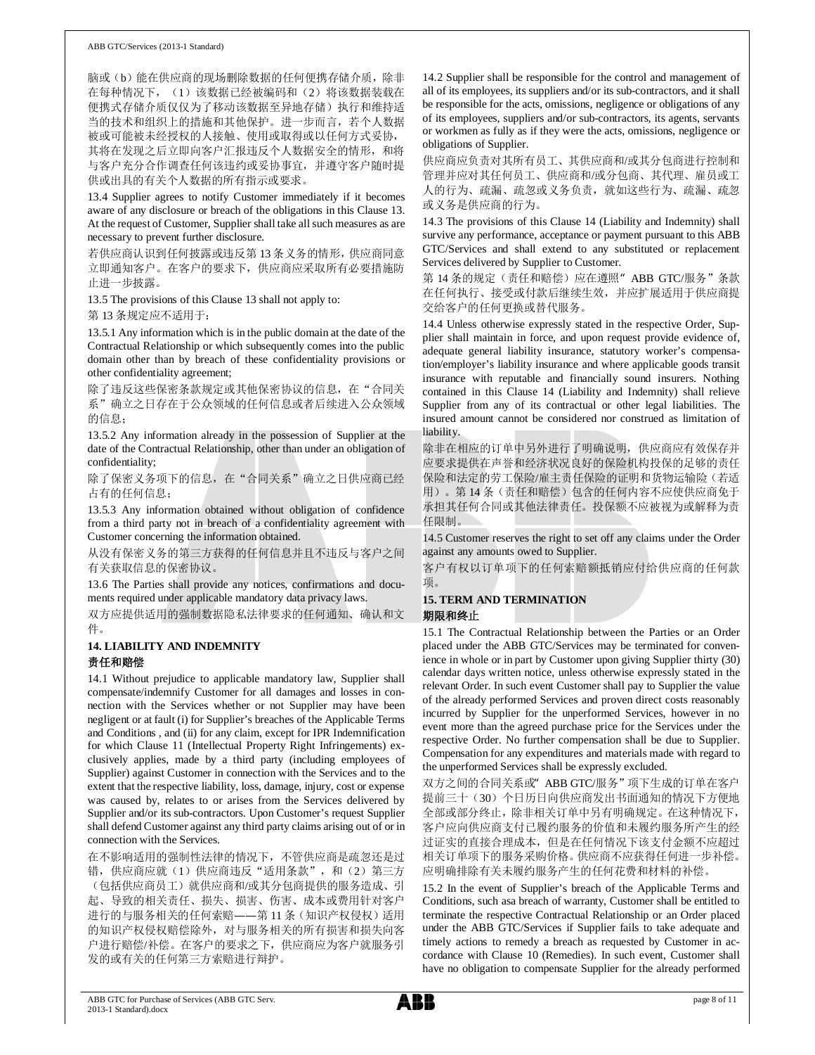脑或(b)能在供应商的现场删除数据的任何便携存储介质,除非 在每种情况下, (1) 该数据已经被编码和(2) 将该数据装载在 便携式存储介质仅仅为了移动该数据至异地存储)执行和维持适 当的技术和组织上的措施和其他保护。进一步而言, 若个人数据 被或可能被未经授权的人接触、使用或取得或以任何方式妥协, 其将在发现之后立即向客户汇报违反个人数据安全的情形, 和将 与客户充分合作调查任何该违约或妥协事宜, 并遵守客户随时提 供或出具的有关个人数据的所有指示或要求。

13.4 Supplier agrees to notify Customer immediately if it becomes aware of any disclosure or breach of the obligations in this Clause 13. At the request of Customer, Supplier shall take all such measures as are necessary to prevent further disclosure.

若供应商认识到任何披露或违反第13条义务的情形, 供应商同意 立即通知客户。在客户的要求下,供应商应采取所有必要措施防 止进一步披露。

13.5 The provisions of this Clause 13 shall not apply to:

第13 条规定应不适用于:

13.5.1 Any information which is in the public domain at the date of the Contractual Relationship or which subsequently comes into the public domain other than by breach of these confidentiality provisions or other confidentiality agreement;

除了违反这些保密条款规定或其他保密协议的信息, 在"合同关 系"确立之日存在于公众领域的任何信息或者后续进入公众领域 的信息;

13.5.2 Any information already in the possession of Supplier at the date of the Contractual Relationship, other than under an obligation of confidentiality;

除了保密义务项下的信息, 在"合同关系"确立之日供应商已经 占有的任何信息:

13.5.3 Any information obtained without obligation of confidence from a third party not in breach of a confidentiality agreement with Customer concerning the information obtained.

从没有保密义务的第三方获得的任何信息并且不违反与客户之间 有关获取信息的保密协议。

13.6 The Parties shall provide any notices, confirmations and documents required under applicable mandatory data privacy laws.

双方应提供适用的强制数据隐私法律要求的任何通知、确认和文 件。

### **14. LIABILITY AND INDEMNITY**  责任和赔偿

14.1 Without prejudice to applicable mandatory law, Supplier shall compensate/indemnify Customer for all damages and losses in connection with the Services whether or not Supplier may have been negligent or at fault (i) for Supplier's breaches of the Applicable Terms and Conditions , and (ii) for any claim, except for IPR Indemnification for which Clause 11 (Intellectual Property Right Infringements) exclusively applies, made by a third party (including employees of Supplier) against Customer in connection with the Services and to the extent that the respective liability, loss, damage, injury, cost or expense was caused by, relates to or arises from the Services delivered by Supplier and/or its sub-contractors. Upon Customer's request Supplier shall defend Customer against any third party claims arising out of or in connection with the Services.

在不影响适用的强制性法律的情况下, 不管供应商是疏忽还是过 错, 供应商应就(1)供应商违反"适用条款", 和(2)第三方 (包括供应商员工) 就供应商和/或其分包商提供的服务造成、引 起、导致的相关责任、损失、损害、伤害、成本或费用针对客户 进行的与服务相关的任何索赔——第11条(知识产权侵权)适用 的知识产权侵权赔偿除外, 对与服务相关的所有损害和损失向客 户进行赔偿/补偿。在客户的要求之下, 供应商应为客户就服务引 发的或有关的任何第三方索赔进行辩护。

14.2 Supplier shall be responsible for the control and management of all of its employees, its suppliers and/or its sub-contractors, and it shall be responsible for the acts, omissions, negligence or obligations of any of its employees, suppliers and/or sub-contractors, its agents, servants or workmen as fully as if they were the acts, omissions, negligence or obligations of Supplier.

供应商应负责对其所有员工、其供应商和/或其分包商进行控制和 管理并应对其任何员工、供应商和/或分包商、其代理、雇员或工 人的行为、疏漏、疏忽或义务负责, 就如这些行为、疏漏、疏忽 或义务是供应商的行为。

14.3 The provisions of this Clause 14 (Liability and Indemnity) shall survive any performance, acceptance or payment pursuant to this ABB GTC/Services and shall extend to any substituted or replacement Services delivered by Supplier to Customer.

第 14 条的规定(责任和赔偿) 应在遵照" ABB GTC/服务"条款 在任何执行、接受或付款后继续生效, 并应扩展适用于供应商提 交给客户的任何更换或替代服务。

14.4 Unless otherwise expressly stated in the respective Order, Supplier shall maintain in force, and upon request provide evidence of, adequate general liability insurance, statutory worker's compensation/employer's liability insurance and where applicable goods transit insurance with reputable and financially sound insurers. Nothing contained in this Clause 14 (Liability and Indemnity) shall relieve Supplier from any of its contractual or other legal liabilities. The insured amount cannot be considered nor construed as limitation of liability.

除非在相应的订单中另外进行了明确说明, 供应商应有效保存并 应要求提供在声誉和经济状况良好的保险机构投保的足够的责任 保险和法定的劳工保险/雇主责任保险的证明和货物运输险(若适 用)。第14条(责任和赔偿)包含的任何内容不应使供应商免于 承担其任何合同或其他法律责任。投保额不应被视为或解释为责 任限制。

14.5 Customer reserves the right to set off any claims under the Order against any amounts owed to Supplier.

客户有权以订单项下的任何索赔额抵销应付给供应商的任何款 面。

# **15. TERM AND TERMINATION**

### 期限和终止

15.1 The Contractual Relationship between the Parties or an Order placed under the ABB GTC/Services may be terminated for convenience in whole or in part by Customer upon giving Supplier thirty (30) calendar days written notice, unless otherwise expressly stated in the relevant Order. In such event Customer shall pay to Supplier the value of the already performed Services and proven direct costs reasonably incurred by Supplier for the unperformed Services, however in no event more than the agreed purchase price for the Services under the respective Order. No further compensation shall be due to Supplier. Compensation for any expenditures and materials made with regard to the unperformed Services shall be expressly excluded.

双方之间的合同关系或" ABB GTC/服务"项下生成的订单在客户 提前三十(30) 个日历日向供应商发出书面通知的情况下方便地 全部或部分终止, 除非相关订单中另有明确规定。在这种情况下, 客户应向供应商支付已履约服务的价值和未履约服务所产生的经 过证实的直接合理成本,但是在任何情况下该支付金额不应超过 相关订单项下的服务采购价格。供应商不应获得任何进一步补偿。 应明确排除有关未履约服务产生的任何花费和材料的补偿。

15.2 In the event of Supplier's breach of the Applicable Terms and Conditions, such asa breach of warranty, Customer shall be entitled to terminate the respective Contractual Relationship or an Order placed under the ABB GTC/Services if Supplier fails to take adequate and timely actions to remedy a breach as requested by Customer in accordance with Clause 10 (Remedies). In such event, Customer shall have no obligation to compensate Supplier for the already performed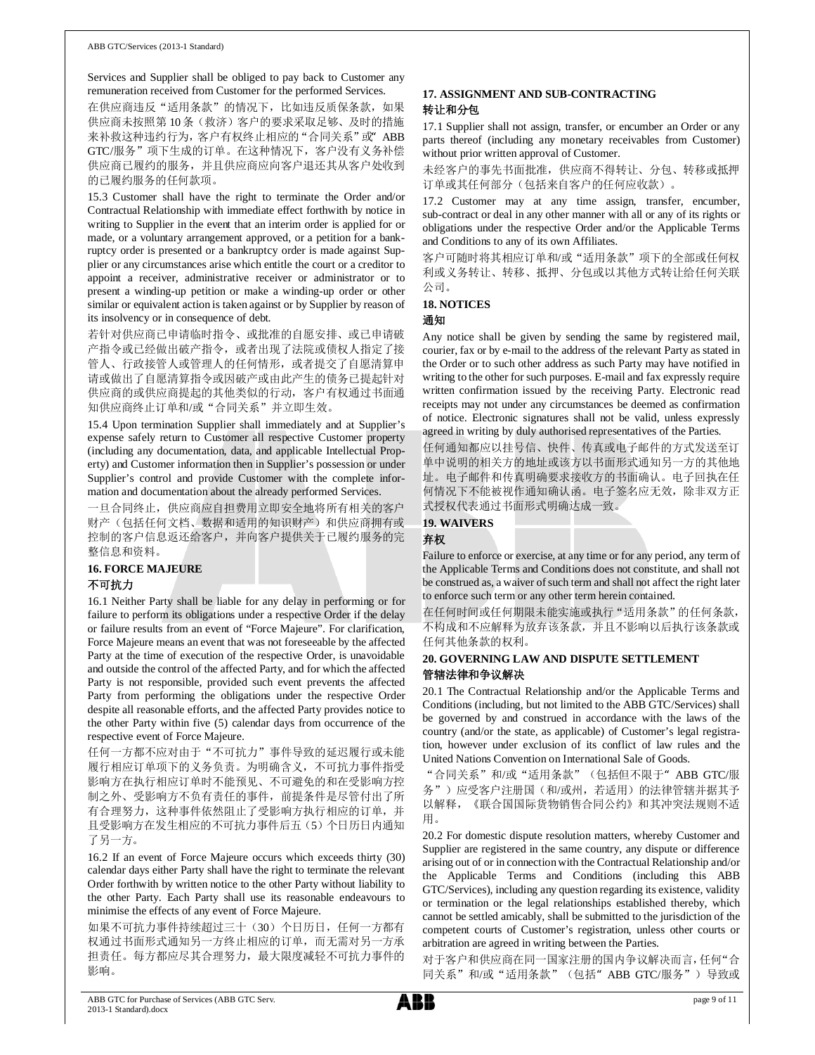Services and Supplier shall be obliged to pay back to Customer any remuneration received from Customer for the performed Services.

在供应商违反"适用条款"的情况下, 比如违反质保条款, 如果 供应商未按照第10条(救济)客户的要求采取足够、及时的措施 来补救这种违约行为, 客户有权终止相应的"合同关系"或" ABB GTC/服务"项下生成的订单。在这种情况下, 客户没有义务补偿 供应商已履约的服务,并且供应商应向客户退还其从客户处收到 的已履约服务的任何款项。

15.3 Customer shall have the right to terminate the Order and/or Contractual Relationship with immediate effect forthwith by notice in writing to Supplier in the event that an interim order is applied for or made, or a voluntary arrangement approved, or a petition for a bankruptcy order is presented or a bankruptcy order is made against Supplier or any circumstances arise which entitle the court or a creditor to appoint a receiver, administrative receiver or administrator or to present a winding-up petition or make a winding-up order or other similar or equivalent action is taken against or by Supplier by reason of its insolvency or in consequence of debt.

若针对供应商已申请临时指令、或批准的自愿安排、或已申请破 产指令或已经做出破产指令, 或者出现了法院或债权人指定了接 管人、行政接管人或管理人的任何情形, 或者提交了自愿清算申 请或做出了自愿清算指令或因破产或由此产生的债务已提起针对 供应商的或供应商提起的其他类似的行动, 客户有权通过书面通 知供应商终止订单和/或"合同关系"并立即生效。

15.4 Upon termination Supplier shall immediately and at Supplier's expense safely return to Customer all respective Customer property (including any documentation, data, and applicable Intellectual Property) and Customer information then in Supplier's possession or under Supplier's control and provide Customer with the complete information and documentation about the already performed Services.

一旦合同终止, 供应商应自担费用立即安全地将所有相关的客户 财产(包括任何文档、数据和适用的知识财产)和供应商拥有或 控制的客户信息返还给客户, 并向客户提供关于已履约服务的完 整信息和资料。

### **16. FORCE MAJEURE**

### 不可抗力

16.1 Neither Party shall be liable for any delay in performing or for failure to perform its obligations under a respective Order if the delay or failure results from an event of "Force Majeure". For clarification, Force Majeure means an event that was not foreseeable by the affected Party at the time of execution of the respective Order, is unavoidable and outside the control of the affected Party, and for which the affected Party is not responsible, provided such event prevents the affected Party from performing the obligations under the respective Order despite all reasonable efforts, and the affected Party provides notice to the other Party within five (5) calendar days from occurrence of the respective event of Force Majeure.

任何一方都不应对由于"不可抗力"事件导致的延迟履行或未能 履行相应订单项下的义务负责。为明确含义,不可抗力事件指受 影响方在执行相应订单时不能预见、不可避免的和在受影响方控 制之外、受影响方不负有责任的事件, 前提条件是尽管付出了所 有合理努力, 这种事件依然阻止了受影响方执行相应的订单, 并 且受影响方在发生相应的不可抗力事件后五(5)个日历日内通知 了另一方。

16.2 If an event of Force Majeure occurs which exceeds thirty (30) calendar days either Party shall have the right to terminate the relevant Order forthwith by written notice to the other Party without liability to the other Party. Each Party shall use its reasonable endeavours to minimise the effects of any event of Force Majeure.

如果不可抗力事件持续超过三十(30)个日历日,任何一方都有 权通过书面形式通知另一方终止相应的订单, 而无需对另一方承 担责任。每方都应尽其合理努力, 最大限度减轻不可抗力事件的 影响。

### 17. ASSIGNMENT AND SUB-CONTRACTING 转让和分包

17.1 Supplier shall not assign, transfer, or encumber an Order or any parts thereof (including any monetary receivables from Customer) without prior written approval of Customer.

未经客户的事先书面批准, 供应商不得转让、分包、转移或抵押 订单或其任何部分(包括来自客户的任何应收款)。

17.2 Customer may at any time assign, transfer, encumber, sub-contract or deal in any other manner with all or any of its rights or obligations under the respective Order and/or the Applicable Terms and Conditions to any of its own Affiliates.

客户可随时将其相应订单和/或"适用条款"项下的全部或任何权 利或义务转让、转移、抵押、分包或以其他方式转让给任何关联 公司。

### **18. NOTICES**

### 通知

Any notice shall be given by sending the same by registered mail, courier, fax or by e-mail to the address of the relevant Party as stated in the Order or to such other address as such Party may have notified in writing to the other for such purposes. E-mail and fax expressly require written confirmation issued by the receiving Party. Electronic read receipts may not under any circumstances be deemed as confirmation of notice. Electronic signatures shall not be valid, unless expressly agreed in writing by duly authorised representatives of the Parties.

任何通知都应以挂号信、快件、传真或电子邮件的方式发送至订 单中说明的相关方的地址或该方以书面形式通知另一方的其他地 址。电子邮件和传真明确要求接收方的书面确认。电子回执在任 何情况下不能被视作通知确认函。电子签名应无效,除非双方正 式授权代表通过书面形式明确达成一致。

### **19. WAIVERS**

### 弃权

Failure to enforce or exercise, at any time or for any period, any term of the Applicable Terms and Conditions does not constitute, and shall not be construed as, a waiver of such term and shall not affect the right later to enforce such term or any other term herein contained.

在任何时间或任何期限未能实施或执行"适用条款"的任何条款, 不构成和不应解释为放弃该条款, 并且不影响以后执行该条款或 任何其他条款的权利。

### 20. GOVERNING LAW AND DISPUTE SETTLEMENT 管辖法律和争议解决

20.1 The Contractual Relationship and/or the Applicable Terms and Conditions (including, but not limited to the ABB GTC/Services) shall be governed by and construed in accordance with the laws of the country (and/or the state, as applicable) of Customer's legal registration, however under exclusion of its conflict of law rules and the United Nations Convention on International Sale of Goods.

"合同关系"和/或"适用条款"(包括但不限于" ABB GTC/服 务")应受客户注册国(和/或州,若适用)的法律管辖并据其予 以解释,《联合国国际货物销售合同公约》和其冲突法规则不适 用。

20.2 For domestic dispute resolution matters, whereby Customer and Supplier are registered in the same country, any dispute or difference arising out of or in connection with the Contractual Relationship and/or the Applicable Terms and Conditions (including this ABB GTC/Services), including any question regarding its existence, validity or termination or the legal relationships established thereby, which cannot be settled amicably, shall be submitted to the jurisdiction of the competent courts of Customer's registration, unless other courts or arbitration are agreed in writing between the Parties.

对于客户和供应商在同一国家注册的国内争议解决而言,任何"合 同关系"和/或"适用条款"(包括"ABB GTC/服务")导致或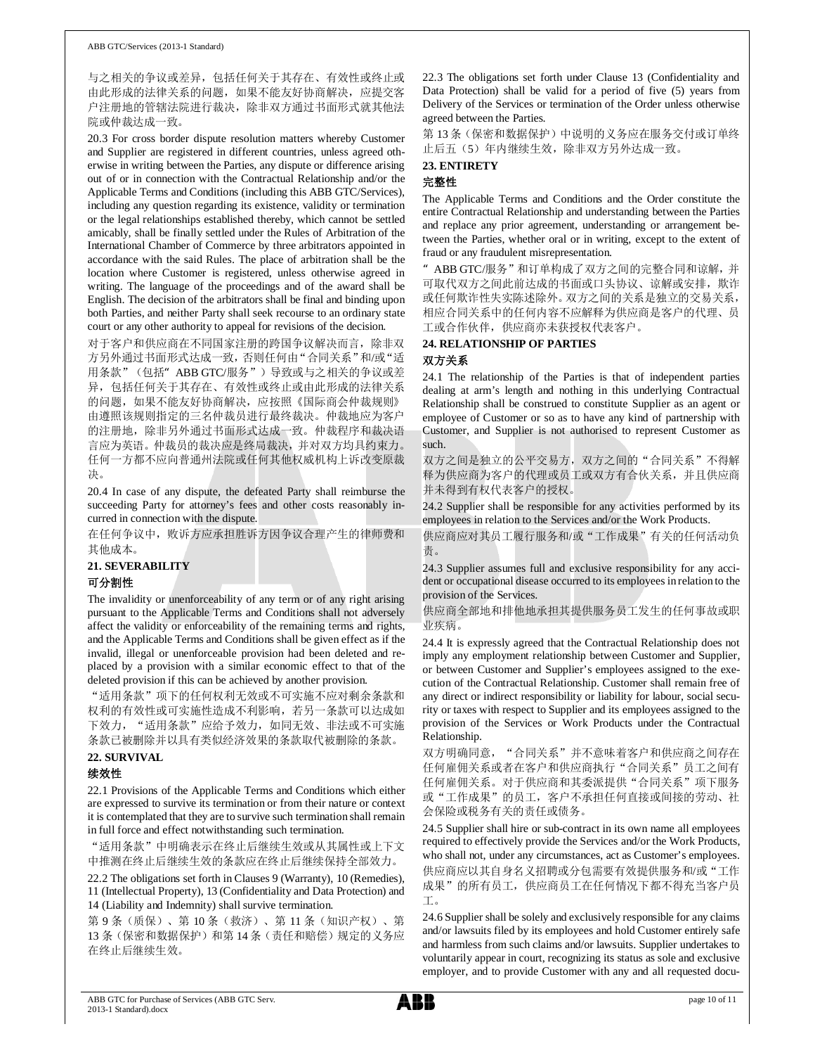与之相关的争议或差异, 包括任何关于其存在、有效性或终止或 由此形成的法律关系的问题, 如果不能友好协商解决, 应提交客 户注册地的管辖法院进行裁决, 除非双方通过书面形式就其他法 院或仲裁达成一致。

20.3 For cross border dispute resolution matters whereby Customer and Supplier are registered in different countries, unless agreed otherwise in writing between the Parties, any dispute or difference arising out of or in connection with the Contractual Relationship and/or the Applicable Terms and Conditions (including this ABB GTC/Services), including any question regarding its existence, validity or termination or the legal relationships established thereby, which cannot be settled amicably, shall be finally settled under the Rules of Arbitration of the International Chamber of Commerce by three arbitrators appointed in accordance with the said Rules. The place of arbitration shall be the location where Customer is registered, unless otherwise agreed in writing. The language of the proceedings and of the award shall be English. The decision of the arbitrators shall be final and binding upon both Parties, and neither Party shall seek recourse to an ordinary state court or any other authority to appeal for revisions of the decision.

对于客户和供应商在不同国家注册的跨国争议解决而言, 除非双 方另外通过书面形式达成一致,否则任何由"合同关系"和/或"适 用条款"(包括" ABB GTC/服务")导致或与之相关的争议或差 异, 包括任何关于其存在、有效性或终止或由此形成的法律关系 的问题,如果不能友好协商解决,应按照《国际商会仲裁规则》 由遵照该规则指定的三名仲裁员进行最终裁决。仲裁地应为客户 的注册地, 除非另外通过书面形式达成一致。仲裁程序和裁决语 言应为英语。仲裁员的裁决应是终局裁决,并对双方均具约束力。 任何一方都不应向普通州法院或任何其他权威机构上诉改变原裁 冲。

20.4 In case of any dispute, the defeated Party shall reimburse the succeeding Party for attorney's fees and other costs reasonably incurred in connection with the dispute.

在任何争议中, 败诉方应承担胜诉方因争议合理产生的律师费和 其他成本。

### **21. SEVERABILITY**

### 可分割性

The invalidity or unenforceability of any term or of any right arising pursuant to the Applicable Terms and Conditions shall not adversely affect the validity or enforceability of the remaining terms and rights, and the Applicable Terms and Conditions shall be given effect as if the invalid, illegal or unenforceable provision had been deleted and replaced by a provision with a similar economic effect to that of the deleted provision if this can be achieved by another provision.

"适用条款"项下的任何权利无效或不可实施不应对剩余条款和 权利的有效性或可实施性造成不利影响, 若另一条款可以达成如 下效力, "适用条款"应给予效力, 如同无效、非法或不可实施 条款已被删除并以具有类似经济效果的条款取代被删除的条款。

### 22. SURVIVAL

### 续效性

22.1 Provisions of the Applicable Terms and Conditions which either are expressed to survive its termination or from their nature or context it is contemplated that they are to survive such termination shall remain in full force and effect notwithstanding such termination.

"适用条款"中明确表示在终止后继续生效或从其属性或上下文 中推测在终止后继续生效的条款应在终止后继续保持全部效力。

22.2 The obligations set forth in Clauses 9 (Warranty), 10 (Remedies), 11 (Intellectual Property), 13 (Confidentiality and Data Protection) and 14 (Liability and Indemnity) shall survive termination.

第9条(质保)、第10条(救济)、第11条(知识产权)、第 13条(保密和数据保护)和第14条(责任和赔偿)规定的义务应 在终止后继续生效。

22.3 The obligations set forth under Clause 13 (Confidentiality and Data Protection) shall be valid for a period of five (5) years from Delivery of the Services or termination of the Order unless otherwise agreed between the Parties.

第13条(保密和数据保护)中说明的义务应在服务交付或订单终 止后五(5)年内继续生效,除非双方另外达成一致。

### 23. ENTIRETY 完整性

The Applicable Terms and Conditions and the Order constitute the entire Contractual Relationship and understanding between the Parties and replace any prior agreement, understanding or arrangement between the Parties, whether oral or in writing, except to the extent of fraud or any fraudulent misrepresentation.

" ABB GTC/服务"和订单构成了双方之间的完整合同和谅解, 并 可取代双方之间此前达成的书面或口头协议、谅解或安排, 欺诈 或任何欺诈性失实陈述除外。双方之间的关系是独立的交易关系, 相应合同关系中的任何内容不应解释为供应商是客户的代理、员 工或合作伙伴, 供应商亦未获授权代表客户。

### 24. RELATIONSHIP OF PARTIES

### 双方关系

24.1 The relationship of the Parties is that of independent parties dealing at arm's length and nothing in this underlying Contractual Relationship shall be construed to constitute Supplier as an agent or employee of Customer or so as to have any kind of partnership with Customer, and Supplier is not authorised to represent Customer as such.

双方之间是独立的公平交易方, 双方之间的"合同关系"不得解 释为供应商为客户的代理或员工或双方有合伙关系, 并且供应商 并未得到有权代表客户的授权。

24.2 Supplier shall be responsible for any activities performed by its employees in relation to the Services and/or the Work Products.

供应商应对其员工履行服务和/或"工作成果"有关的任何活动负 责。

24.3 Supplier assumes full and exclusive responsibility for any accident or occupational disease occurred to its employees in relation to the provision of the Services.

供应商全部地和排他地承担其提供服务员工发生的任何事故或职 业疾病。

24.4 It is expressly agreed that the Contractual Relationship does not imply any employment relationship between Customer and Supplier, or between Customer and Supplier's employees assigned to the execution of the Contractual Relationship. Customer shall remain free of any direct or indirect responsibility or liability for labour, social security or taxes with respect to Supplier and its employees assigned to the provision of the Services or Work Products under the Contractual Relationship.

双方明确同意, "合同关系"并不意味着客户和供应商之间存在 任何雇佣关系或者在客户和供应商执行"合同关系"员工之间有 任何雇佣关系。对于供应商和其委派提供"合同关系"项下服务 或"工作成果"的员工, 客户不承担任何直接或间接的劳动、社 会保险或税务有关的责任或债务。

24.5 Supplier shall hire or sub-contract in its own name all employees required to effectively provide the Services and/or the Work Products, who shall not, under any circumstances, act as Customer's employees. 供应商应以其自身名义招聘或分包需要有效提供服务和/或"工作 成果"的所有员工, 供应商员工在任何情况下都不得充当客户员  $T_{\alpha}$ 

24.6 Supplier shall be solely and exclusively responsible for any claims and/or lawsuits filed by its employees and hold Customer entirely safe and harmless from such claims and/or lawsuits. Supplier undertakes to voluntarily appear in court, recognizing its status as sole and exclusive employer, and to provide Customer with any and all requested docu